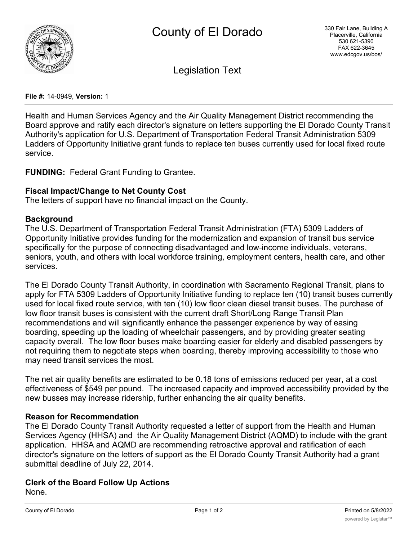

Legislation Text

**File #:** 14-0949, **Version:** 1

Health and Human Services Agency and the Air Quality Management District recommending the Board approve and ratify each director's signature on letters supporting the El Dorado County Transit Authority's application for U.S. Department of Transportation Federal Transit Administration 5309 Ladders of Opportunity Initiative grant funds to replace ten buses currently used for local fixed route service.

**FUNDING:** Federal Grant Funding to Grantee.

### **Fiscal Impact/Change to Net County Cost**

The letters of support have no financial impact on the County.

#### **Background**

The U.S. Department of Transportation Federal Transit Administration (FTA) 5309 Ladders of Opportunity Initiative provides funding for the modernization and expansion of transit bus service specifically for the purpose of connecting disadvantaged and low-income individuals, veterans, seniors, youth, and others with local workforce training, employment centers, health care, and other services.

The El Dorado County Transit Authority, in coordination with Sacramento Regional Transit, plans to apply for FTA 5309 Ladders of Opportunity Initiative funding to replace ten (10) transit buses currently used for local fixed route service, with ten (10) low floor clean diesel transit buses. The purchase of low floor transit buses is consistent with the current draft Short/Long Range Transit Plan recommendations and will significantly enhance the passenger experience by way of easing boarding, speeding up the loading of wheelchair passengers, and by providing greater seating capacity overall. The low floor buses make boarding easier for elderly and disabled passengers by not requiring them to negotiate steps when boarding, thereby improving accessibility to those who may need transit services the most.

The net air quality benefits are estimated to be 0.18 tons of emissions reduced per year, at a cost effectiveness of \$549 per pound. The increased capacity and improved accessibility provided by the new busses may increase ridership, further enhancing the air quality benefits.

#### **Reason for Recommendation**

The El Dorado County Transit Authority requested a letter of support from the Health and Human Services Agency (HHSA) and the Air Quality Management District (AQMD) to include with the grant application. HHSA and AQMD are recommending retroactive approval and ratification of each director's signature on the letters of support as the El Dorado County Transit Authority had a grant submittal deadline of July 22, 2014.

# **Clerk of the Board Follow Up Actions**

None.